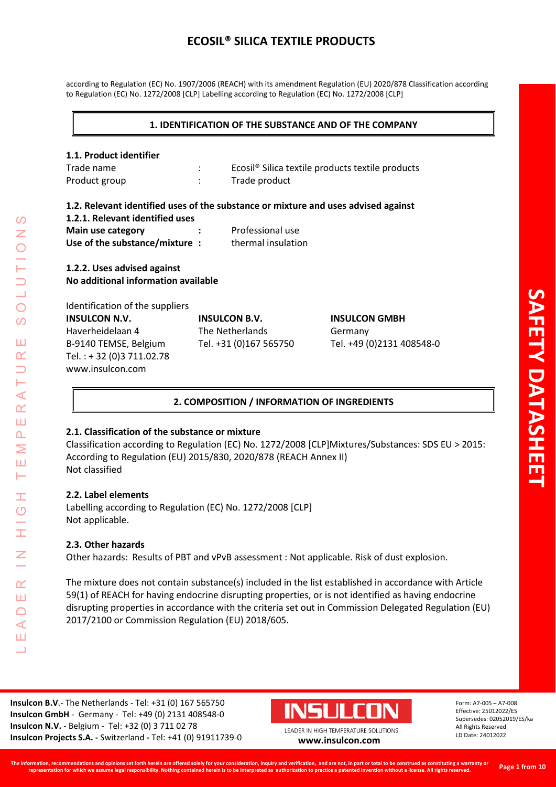according to Regulation (EC) No. 1907/2006 (REACH) with its amendment Regulation (EU) 2020/878 Classification according to Regulation (EC) No. 1272/2008 [CLP] Labelling according to Regulation (EC) No. 1272/2008 [CLP]

#### **1. IDENTIFICATION OF THE SUBSTANCE AND OF THE COMPANY**

#### **1.1. Product identifier**

| Trade name    | Ecosil <sup>®</sup> Silica textile products textile products |
|---------------|--------------------------------------------------------------|
| Product group | Trade product                                                |

#### **1.2. Relevant identified uses of the substance or mixture and uses advised against**

| 1.2.1. Relevant identified uses |           |                    |  |  |  |
|---------------------------------|-----------|--------------------|--|--|--|
| Main use category               | $\bullet$ | Professional use   |  |  |  |
| Use of the substance/mixture:   |           | thermal insulation |  |  |  |

## **1.2.2. Uses advised against No additional information available**

| Identification of the suppliers |                        |                           |
|---------------------------------|------------------------|---------------------------|
| <b>INSULCON N.V.</b>            | <b>INSULCON B.V.</b>   | <b>INSULCON GMBH</b>      |
| Haverheidelaan 4                | The Netherlands        | Germany                   |
| B-9140 TEMSE, Belgium           | Tel. +31 (0)167 565750 | Tel. +49 (0)2131 408548-0 |
| Tel.: +32 (0)3 711.02.78        |                        |                           |
| www.insulcon.com                |                        |                           |

## **2. COMPOSITION / INFORMATION OF INGREDIENTS**

## **2.1. Classification of the substance or mixture**

Classification according to Regulation (EC) No. 1272/2008 [CLP]Mixtures/Substances: SDS EU > 2015: According to Regulation (EU) 2015/830, 2020/878 (REACH Annex II) Not classified

## **2.2. Label elements**

LEADER IN HIGH TEMPERATURE SOLUTIONS

Ŧ  $\overline{O}$ 

 $\alpha$ Ш  $\Box$  $\blacktriangleleft$ Ш  $\overline{\phantom{0}}$ 

⋖  $\alpha$ Ш  $\overline{\mathbf{r}}$ Σ Ш ⊢

 $\Omega$ Z

 $\overline{O}$ 

 $\Omega$ 

Ш  $\alpha$ 

> Labelling according to Regulation (EC) No. 1272/2008 [CLP] Not applicable.

## **2.3. Other hazards**

Other hazards: Results of PBT and vPvB assessment : Not applicable. Risk of dust explosion.

The mixture does not contain substance(s) included in the list established in accordance with Article 59(1) of REACH for having endocrine disrupting properties, or is not identified as having endocrine disrupting properties in accordance with the criteria set out in Commission Delegated Regulation (EU) 2017/2100 or Commission Regulation (EU) 2018/605.

**Insulcon B.V**.- The Netherlands - Tel: +31 (0) 167 565750 **Insulcon GmbH** - Germany - Tel: +49 (0) 2131 408548-0 **Insulcon N.V.** - Belgium - Tel: +32 (0) 3 711 02 78 **Insulcon Projects S.A. -** Switzerland **-** Tel: +41 (0) 91911739-0 **[www.insulcon.com](http://www.insulcon.com/)**

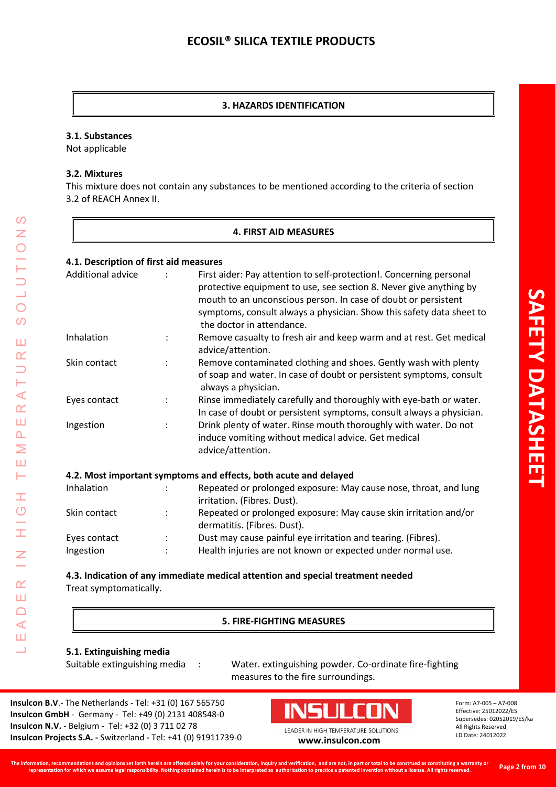### **3. HAZARDS IDENTIFICATION**

#### **3.1. Substances**

Not applicable

#### **3.2. Mixtures**

LEADER IN HIGH TEMPERATURE SOLUTIONS

H  $\overline{O}$ 

Ī.

 $\alpha$ Ш  $\Box$  $\triangleleft$ Ш  $\overline{\phantom{0}}$ 

 $\mathcal{O}$  $\overline{z}$ 

 $\bigcirc$  $\Omega$ 

Ш  $\alpha$  $\Box$ H  $\prec$  $\alpha$ Ш  $\Delta$ Σ Ш Н

This mixture does not contain any substances to be mentioned according to the criteria of section 3.2 of REACH Annex II.

### **4. FIRST AID MEASURES**

### **4.1. Description of first aid measures**

| Additional advice | First aider: Pay attention to self-protection!. Concerning personal<br>protective equipment to use, see section 8. Never give anything by<br>mouth to an unconscious person. In case of doubt or persistent<br>symptoms, consult always a physician. Show this safety data sheet to<br>the doctor in attendance. |
|-------------------|------------------------------------------------------------------------------------------------------------------------------------------------------------------------------------------------------------------------------------------------------------------------------------------------------------------|
| Inhalation        | Remove casualty to fresh air and keep warm and at rest. Get medical<br>advice/attention.                                                                                                                                                                                                                         |
| Skin contact      | Remove contaminated clothing and shoes. Gently wash with plenty<br>of soap and water. In case of doubt or persistent symptoms, consult<br>always a physician.                                                                                                                                                    |
| Eyes contact      | Rinse immediately carefully and thoroughly with eye-bath or water.<br>In case of doubt or persistent symptoms, consult always a physician.                                                                                                                                                                       |
| Ingestion         | Drink plenty of water. Rinse mouth thoroughly with water. Do not<br>induce vomiting without medical advice. Get medical<br>advice/attention.                                                                                                                                                                     |

| Inhalation   |    | Repeated or prolonged exposure: May cause nose, throat, and lung |
|--------------|----|------------------------------------------------------------------|
|              |    | irritation. (Fibres. Dust).                                      |
| Skin contact | ٠. | Repeated or prolonged exposure: May cause skin irritation and/or |
|              |    | dermatitis. (Fibres. Dust).                                      |
| Eyes contact |    | Dust may cause painful eye irritation and tearing. (Fibres).     |
| Ingestion    | ÷  | Health injuries are not known or expected under normal use.      |
|              |    |                                                                  |

**4.3. Indication of any immediate medical attention and special treatment needed** Treat symptomatically.

#### **5. FIRE-FIGHTING MEASURES**

#### **5.1. Extinguishing media**

Suitable extinguishing media : Water. extinguishing powder. Co-ordinate fire-fighting measures to the fire surroundings.

**Insulcon B.V**.- The Netherlands - Tel: +31 (0) 167 565750 **Insulcon GmbH** - Germany - Tel: +49 (0) 2131 408548-0 **Insulcon N.V.** - Belgium - Tel: +32 (0) 3 711 02 78 **Insulcon Projects S.A. -** Switzerland **-** Tel: +41 (0) 91911739-0 **[www.insulcon.com](http://www.insulcon.com/)**

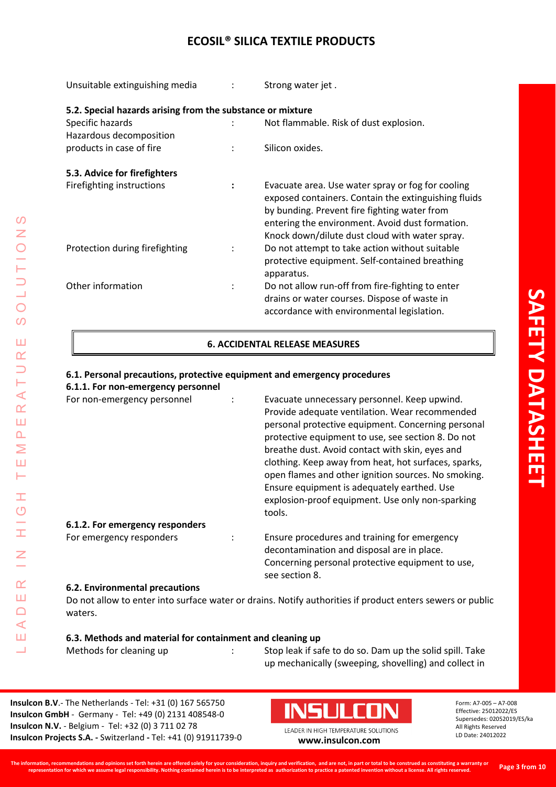Unsuitable extinguishing media : Strong water jet .

| 5.2. Special hazards arising from the substance or mixture |                      |                                                                                                                                                                                                                                                                |
|------------------------------------------------------------|----------------------|----------------------------------------------------------------------------------------------------------------------------------------------------------------------------------------------------------------------------------------------------------------|
| Specific hazards                                           |                      | Not flammable. Risk of dust explosion.                                                                                                                                                                                                                         |
| Hazardous decomposition                                    |                      |                                                                                                                                                                                                                                                                |
| products in case of fire                                   | $\ddot{\cdot}$       | Silicon oxides.                                                                                                                                                                                                                                                |
| 5.3. Advice for firefighters                               |                      |                                                                                                                                                                                                                                                                |
| Firefighting instructions                                  | $\ddot{\phantom{a}}$ | Evacuate area. Use water spray or fog for cooling<br>exposed containers. Contain the extinguishing fluids<br>by bunding. Prevent fire fighting water from<br>entering the environment. Avoid dust formation.<br>Knock down/dilute dust cloud with water spray. |
| Protection during firefighting                             | $\ddot{\cdot}$       | Do not attempt to take action without suitable<br>protective equipment. Self-contained breathing<br>apparatus.                                                                                                                                                 |
| Other information                                          | $\ddot{\cdot}$       | Do not allow run-off from fire-fighting to enter<br>drains or water courses. Dispose of waste in<br>accordance with environmental legislation.                                                                                                                 |

## **6. ACCIDENTAL RELEASE MEASURES**

**6.1. Personal precautions, protective equipment and emergency procedures 6.1.1. For non-emergency personnel** For non-emergency personnel : Evacuate unnecessary personnel. Keep upwind. Provide adequate ventilation. Wear recommended personal protective equipment. Concerning personal protective equipment to use, see section 8. Do not breathe dust. Avoid contact with skin, eyes and clothing. Keep away from heat, hot surfaces, sparks, open flames and other ignition sources. No smoking. Ensure equipment is adequately earthed. Use explosion-proof equipment. Use only non-sparking tools. **6.1.2. For emergency responders** For emergency responders : Ensure procedures and training for emergency decontamination and disposal are in place. Concerning personal protective equipment to use, see section 8. **6.2. Environmental precautions** Do not allow to enter into surface water or drains. Notify authorities if product enters sewers or public waters.

#### **6.3. Methods and material for containment and cleaning up**

LEADER IN HIGH TEMPERATURE SOLUTIONS

Ŧ  $\overline{O}$ 

I

 $\alpha$ Ш  $\Box$  $\blacktriangleleft$ Ш ┙

 $\blacktriangleleft$  $\alpha$ Ш  $\Delta$ Σ Ш Н

 $\Omega$ Z

 $\bigcirc$ 

 $\overline{O}$ 

Ш  $\alpha$ 

> Methods for cleaning up : Stop leak if safe to do so. Dam up the solid spill. Take up mechanically (sweeping, shovelling) and collect in

**Insulcon B.V**.- The Netherlands - Tel: +31 (0) 167 565750 **Insulcon GmbH** - Germany - Tel: +49 (0) 2131 408548-0 **Insulcon N.V.** - Belgium - Tel: +32 (0) 3 711 02 78 **Insulcon Projects S.A. -** Switzerland **-** Tel: +41 (0) 91911739-0 **[www.insulcon.com](http://www.insulcon.com/)**

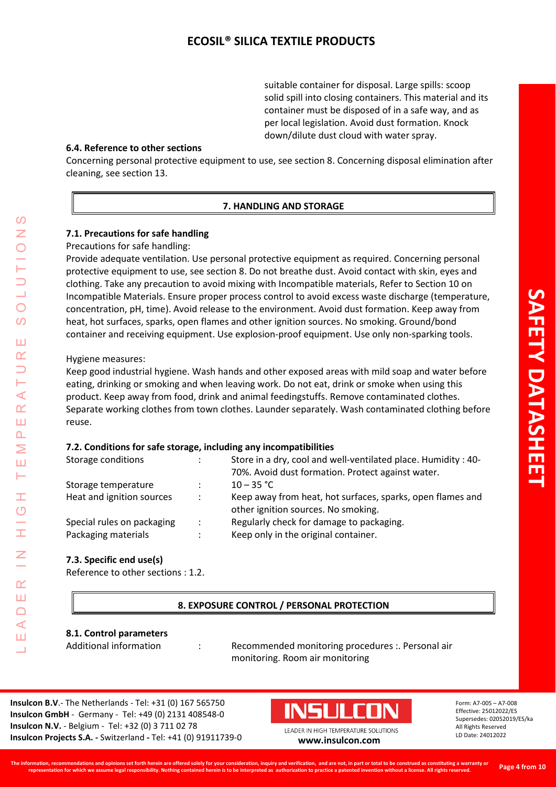suitable container for disposal. Large spills: scoop solid spill into closing containers. This material and its container must be disposed of in a safe way, and as per local legislation. Avoid dust formation. Knock down/dilute dust cloud with water spray.

#### **6.4. Reference to other sections**

Concerning personal protective equipment to use, see section 8. Concerning disposal elimination after cleaning, see section 13.

## **7. HANDLING AND STORAGE**

## **7.1. Precautions for safe handling**

Precautions for safe handling:

Provide adequate ventilation. Use personal protective equipment as required. Concerning personal protective equipment to use, see section 8. Do not breathe dust. Avoid contact with skin, eyes and clothing. Take any precaution to avoid mixing with Incompatible materials, Refer to Section 10 on Incompatible Materials. Ensure proper process control to avoid excess waste discharge (temperature, concentration, pH, time). Avoid release to the environment. Avoid dust formation. Keep away from heat, hot surfaces, sparks, open flames and other ignition sources. No smoking. Ground/bond container and receiving equipment. Use explosion-proof equipment. Use only non-sparking tools.

Hygiene measures:

LEADER IN HIGH TEMPERATURE SOLUTIONS

Ŧ  $\overline{O}$ 

 $\alpha$ Ш  $\Box$  $\blacktriangleleft$ Ш  $\overline{\phantom{0}}$ 

⋖  $\alpha$ Ш  $\overline{\mathbf{r}}$ Σ Ш ⊢

 $\Omega$ Z

 $\bigcirc$  $\Omega$ 

Ш  $\alpha$ 

> Keep good industrial hygiene. Wash hands and other exposed areas with mild soap and water before eating, drinking or smoking and when leaving work. Do not eat, drink or smoke when using this product. Keep away from food, drink and animal feedingstuffs. Remove contaminated clothes. Separate working clothes from town clothes. Launder separately. Wash contaminated clothing before reuse.

#### **7.2. Conditions for safe storage, including any incompatibilities**

| Storage conditions         | ÷                    | Store in a dry, cool and well-ventilated place. Humidity: 40-                                     |
|----------------------------|----------------------|---------------------------------------------------------------------------------------------------|
|                            |                      | 70%. Avoid dust formation. Protect against water.                                                 |
| Storage temperature        | ÷                    | $10 - 35 °C$                                                                                      |
| Heat and ignition sources  | $\ddot{\phantom{0}}$ | Keep away from heat, hot surfaces, sparks, open flames and<br>other ignition sources. No smoking. |
| Special rules on packaging | $\ddot{\phantom{0}}$ | Regularly check for damage to packaging.                                                          |
| Packaging materials        | $\ddot{\phantom{a}}$ | Keep only in the original container.                                                              |

#### **7.3. Specific end use(s)**

Reference to other sections : 1.2.

## **8. EXPOSURE CONTROL / PERSONAL PROTECTION**

#### **8.1. Control parameters**

Additional information : Recommended monitoring procedures : Personal air monitoring. Room air monitoring

**Insulcon B.V**.- The Netherlands - Tel: +31 (0) 167 565750 **Insulcon GmbH** - Germany - Tel: +49 (0) 2131 408548-0 **Insulcon N.V.** - Belgium - Tel: +32 (0) 3 711 02 78 **Insulcon Projects S.A. -** Switzerland **-** Tel: +41 (0) 91911739-0 **[www.insulcon.com](http://www.insulcon.com/)**

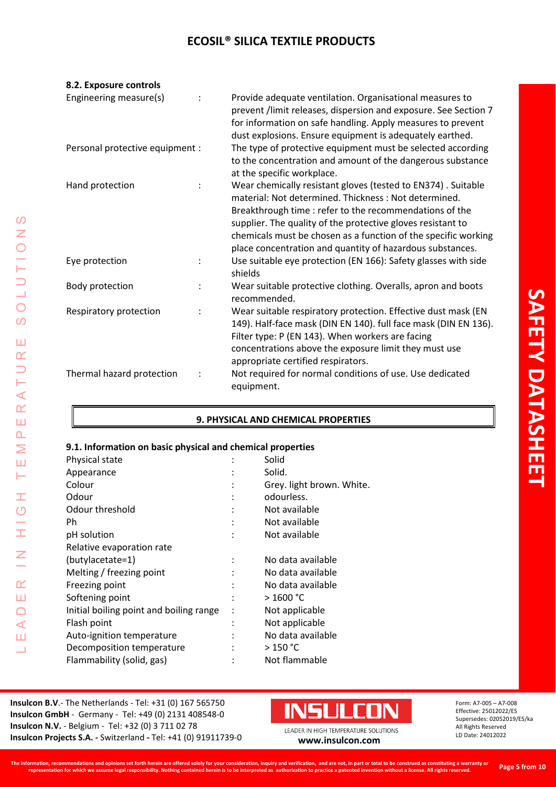| 8.2. Exposure controls          |                |                                                                                                                                                                                                                                                                                                                                                                               |
|---------------------------------|----------------|-------------------------------------------------------------------------------------------------------------------------------------------------------------------------------------------------------------------------------------------------------------------------------------------------------------------------------------------------------------------------------|
| Engineering measure(s)          |                | Provide adequate ventilation. Organisational measures to<br>prevent /limit releases, dispersion and exposure. See Section 7<br>for information on safe handling. Apply measures to prevent<br>dust explosions. Ensure equipment is adequately earthed.                                                                                                                        |
| Personal protective equipment : |                | The type of protective equipment must be selected according<br>to the concentration and amount of the dangerous substance<br>at the specific workplace.                                                                                                                                                                                                                       |
| Hand protection                 |                | Wear chemically resistant gloves (tested to EN374). Suitable<br>material: Not determined. Thickness: Not determined.<br>Breakthrough time : refer to the recommendations of the<br>supplier. The quality of the protective gloves resistant to<br>chemicals must be chosen as a function of the specific working<br>place concentration and quantity of hazardous substances. |
| Eye protection                  | $\ddot{\cdot}$ | Use suitable eye protection (EN 166): Safety glasses with side<br>shields                                                                                                                                                                                                                                                                                                     |
| Body protection                 | $\ddot{\cdot}$ | Wear suitable protective clothing. Overalls, apron and boots<br>recommended.                                                                                                                                                                                                                                                                                                  |
| Respiratory protection          |                | Wear suitable respiratory protection. Effective dust mask (EN<br>149). Half-face mask (DIN EN 140). full face mask (DIN EN 136).<br>Filter type: P (EN 143). When workers are facing<br>concentrations above the exposure limit they must use<br>appropriate certified respirators.                                                                                           |
| Thermal hazard protection       | $\ddot{\cdot}$ | Not required for normal conditions of use. Use dedicated<br>equipment.                                                                                                                                                                                                                                                                                                        |

## **9. PHYSICAL AND CHEMICAL PROPERTIES**

## **9.1. Information on basic physical and chemical properties**

| Physical state                          |                | Solid                     |
|-----------------------------------------|----------------|---------------------------|
| Appearance                              |                | Solid.                    |
| Colour                                  | $\ddot{\cdot}$ | Grey. light brown. White. |
| Odour                                   |                | odourless.                |
| Odour threshold                         |                | Not available             |
| Ph                                      |                | Not available             |
| pH solution                             |                | Not available             |
| Relative evaporation rate               |                |                           |
| (butylacetate=1)                        |                | No data available         |
| Melting / freezing point                |                | No data available         |
| Freezing point                          | $\ddot{\cdot}$ | No data available         |
| Softening point                         |                | >1600 °C                  |
| Initial boiling point and boiling range | ÷              | Not applicable            |
| Flash point                             | ٠              | Not applicable            |
| Auto-ignition temperature               |                | No data available         |
| Decomposition temperature               |                | > 150 °C                  |
| Flammability (solid, gas)               |                | Not flammable             |
|                                         |                |                           |

**Insulcon B.V**.- The Netherlands - Tel: +31 (0) 167 565750 **Insulcon GmbH** - Germany - Tel: +49 (0) 2131 408548-0 **Insulcon N.V.** - Belgium - Tel: +32 (0) 3 711 02 78 **Insulcon N.V.** - Beigium - Tel: +32 (0) 3 711 02 78<br> **Insulcon Projects S.A.** - Switzerland - Tel: +41 (0) 91911739-0 **[www.insulcon.com](http://www.insulcon.com/)** 

LEADER IN HIGH TEMPERATURE SOLUTIONS

 $\pm$ 

 $\frac{G}{H}$ 

 $\overline{z}$ 

 $\alpha$ Ш  $\Box$  $\prec$ Ш Ц

 $\Omega$  $\overline{z}$ 

OLUUTIO

 $\overline{O}$ 

Ш  $\alpha$  $\overline{\phantom{0}}$ Н  $\prec$  $\alpha$ Ш  $\Delta$ Σ Ш Н

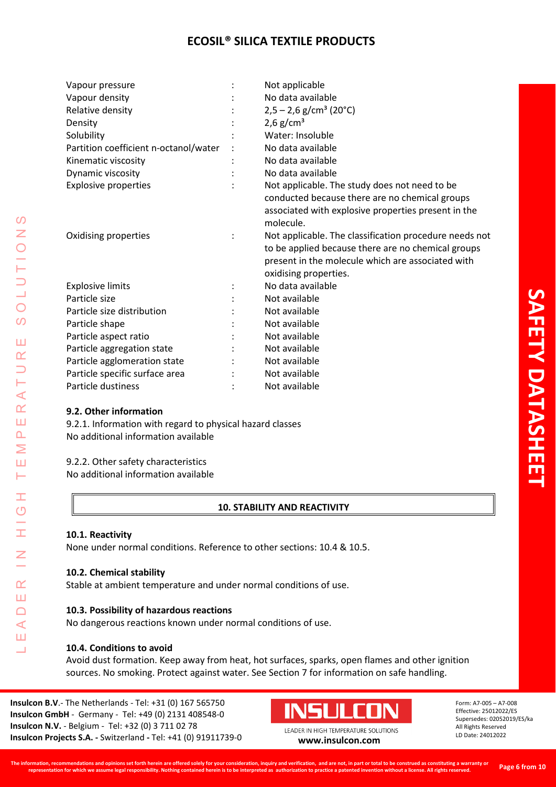| Vapour pressure                       |                      | Not applicable                                         |
|---------------------------------------|----------------------|--------------------------------------------------------|
| Vapour density                        |                      | No data available                                      |
| Relative density                      |                      | $2,5 - 2,6$ g/cm <sup>3</sup> (20°C)                   |
| Density                               |                      | 2,6 $g/cm^{3}$                                         |
| Solubility                            |                      | Water: Insoluble                                       |
| Partition coefficient n-octanol/water |                      | No data available                                      |
| Kinematic viscosity                   |                      | No data available                                      |
| Dynamic viscosity                     |                      | No data available                                      |
| <b>Explosive properties</b>           |                      | Not applicable. The study does not need to be          |
|                                       |                      | conducted because there are no chemical groups         |
|                                       |                      | associated with explosive properties present in the    |
|                                       |                      | molecule.                                              |
| Oxidising properties                  | $\ddot{\phantom{a}}$ | Not applicable. The classification procedure needs not |
|                                       |                      | to be applied because there are no chemical groups     |
|                                       |                      | present in the molecule which are associated with      |
|                                       |                      | oxidising properties.                                  |
| <b>Explosive limits</b>               |                      | No data available                                      |
| Particle size                         |                      | Not available                                          |
| Particle size distribution            |                      | Not available                                          |
| Particle shape                        |                      | Not available                                          |
| Particle aspect ratio                 |                      | Not available                                          |
| Particle aggregation state            |                      | Not available                                          |
| Particle agglomeration state          |                      | Not available                                          |
| Particle specific surface area        |                      | Not available                                          |
| Particle dustiness                    |                      | Not available                                          |

## **9.2. Other information**

9.2.1. Information with regard to physical hazard classes No additional information available

#### 9.2.2. Other safety characteristics

No additional information available

## **10. STABILITY AND REACTIVITY**

#### **10.1. Reactivity**

LEADER IN HIGH TEMPERATURE SOLUTIONS

Ŧ  $\circ$ 

I

 $\alpha$ Ш  $\Box$  $\prec$ Ш Ц

 $\mathcal{O}$  $\overline{z}$ 

 $\bigcirc$  $\overline{O}$ 

Ш  $\alpha$  $\overline{\phantom{0}}$ ⊢  $\prec$  $\underline{\alpha}$ Ш  $\Delta$ Σ Ш Н

None under normal conditions. Reference to other sections: 10.4 & 10.5.

#### **10.2. Chemical stability**

Stable at ambient temperature and under normal conditions of use.

#### **10.3. Possibility of hazardous reactions**

No dangerous reactions known under normal conditions of use.

#### **10.4. Conditions to avoid**

Avoid dust formation. Keep away from heat, hot surfaces, sparks, open flames and other ignition sources. No smoking. Protect against water. See Section 7 for information on safe handling.

**Insulcon B.V**.- The Netherlands - Tel: +31 (0) 167 565750 **Insulcon GmbH** - Germany - Tel: +49 (0) 2131 408548-0 **Insulcon N.V.** - Belgium - Tel: +32 (0) 3 711 02 78 **Insulcon Projects S.A. -** Switzerland **-** Tel: +41 (0) 91911739-0 **[www.insulcon.com](http://www.insulcon.com/)**

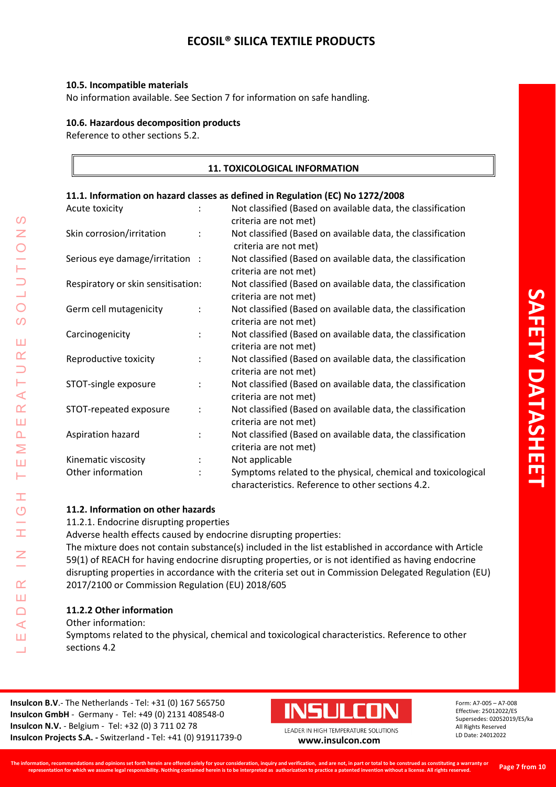#### **10.5. Incompatible materials**

No information available. See Section 7 for information on safe handling.

#### **10.6. Hazardous decomposition products**

Reference to other sections 5.2.

## **11. TOXICOLOGICAL INFORMATION**

#### **11.1. Information on hazard classes as defined in Regulation (EC) No 1272/2008**

| Acute toxicity                     |                      | Not classified (Based on available data, the classification<br>criteria are not met)                              |
|------------------------------------|----------------------|-------------------------------------------------------------------------------------------------------------------|
| Skin corrosion/irritation          | $\ddot{\cdot}$       | Not classified (Based on available data, the classification<br>criteria are not met)                              |
| Serious eye damage/irritation :    |                      | Not classified (Based on available data, the classification<br>criteria are not met)                              |
| Respiratory or skin sensitisation: |                      | Not classified (Based on available data, the classification<br>criteria are not met)                              |
| Germ cell mutagenicity             | $\ddot{\cdot}$       | Not classified (Based on available data, the classification<br>criteria are not met)                              |
| Carcinogenicity                    | $\ddot{\cdot}$       | Not classified (Based on available data, the classification<br>criteria are not met)                              |
| Reproductive toxicity              | $\ddot{\cdot}$       | Not classified (Based on available data, the classification<br>criteria are not met)                              |
| STOT-single exposure               | $\ddot{\cdot}$       | Not classified (Based on available data, the classification<br>criteria are not met)                              |
| STOT-repeated exposure             | $\ddot{\cdot}$       | Not classified (Based on available data, the classification<br>criteria are not met)                              |
| Aspiration hazard                  | $\ddot{\cdot}$       | Not classified (Based on available data, the classification<br>criteria are not met)                              |
| Kinematic viscosity                | $\ddot{\phantom{a}}$ | Not applicable                                                                                                    |
| Other information                  | $\bullet$            | Symptoms related to the physical, chemical and toxicological<br>characteristics. Reference to other sections 4.2. |

## **11.2. Information on other hazards**

11.2.1. Endocrine disrupting properties

Adverse health effects caused by endocrine disrupting properties:

The mixture does not contain substance(s) included in the list established in accordance with Article 59(1) of REACH for having endocrine disrupting properties, or is not identified as having endocrine disrupting properties in accordance with the criteria set out in Commission Delegated Regulation (EU) 2017/2100 or Commission Regulation (EU) 2018/605

### **11.2.2 Other information**

Other information:

LEADER IN HIGH TEMPERATURE SOLUTIONS

Ŧ  $\overline{O}$ 

I

 $\alpha$ Ш  $\Box$  $\triangleleft$ Ш Ц

 $\Omega$  $\overline{z}$ 

 $\bigcirc$  $\Omega$ 

Ш  $\alpha$  $\Box$ ⊢  $\prec$  $\alpha$ Ш  $\Delta$ Σ Ш Н

> Symptoms related to the physical, chemical and toxicological characteristics. Reference to other sections 4.2

**Insulcon B.V**.- The Netherlands - Tel: +31 (0) 167 565750 **Insulcon GmbH** - Germany - Tel: +49 (0) 2131 408548-0 **Insulcon N.V.** - Belgium - Tel: +32 (0) 3 711 02 78 **Insulcon Projects S.A. -** Switzerland **-** Tel: +41 (0) 91911739-0 **[www.insulcon.com](http://www.insulcon.com/)**

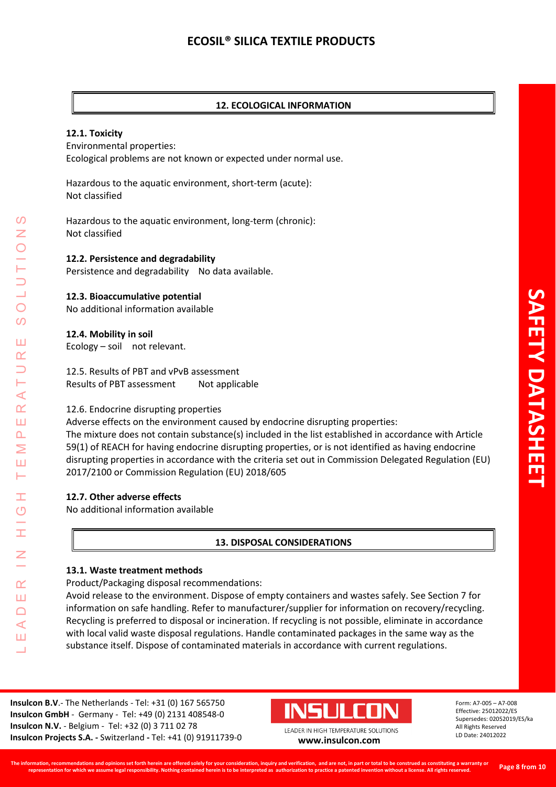## **12. ECOLOGICAL INFORMATION**

#### **12.1. Toxicity**

Environmental properties: Ecological problems are not known or expected under normal use.

Hazardous to the aquatic environment, short-term (acute): Not classified

Hazardous to the aquatic environment, long-term (chronic): Not classified

#### **12.2. Persistence and degradability**

Persistence and degradability No data available.

#### **12.3. Bioaccumulative potential**

No additional information available

#### **12.4. Mobility in soil**

Ecology – soil not relevant.

12.5. Results of PBT and vPvB assessment Results of PBT assessment Not applicable

#### 12.6. Endocrine disrupting properties

Adverse effects on the environment caused by endocrine disrupting properties: The mixture does not contain substance(s) included in the list established in accordance with Article 59(1) of REACH for having endocrine disrupting properties, or is not identified as having endocrine disrupting properties in accordance with the criteria set out in Commission Delegated Regulation (EU) 2017/2100 or Commission Regulation (EU) 2018/605

#### **12.7. Other adverse effects**

No additional information available

#### **13. DISPOSAL CONSIDERATIONS**

#### **13.1. Waste treatment methods**

Product/Packaging disposal recommendations:

Avoid release to the environment. Dispose of empty containers and wastes safely. See Section 7 for information on safe handling. Refer to manufacturer/supplier for information on recovery/recycling. Recycling is preferred to disposal or incineration. If recycling is not possible, eliminate in accordance with local valid waste disposal regulations. Handle contaminated packages in the same way as the substance itself. Dispose of contaminated materials in accordance with current regulations.

**Insulcon B.V**.- The Netherlands - Tel: +31 (0) 167 565750 **Insulcon GmbH** - Germany - Tel: +49 (0) 2131 408548-0 **Insulcon N.V.** - Belgium - Tel: +32 (0) 3 711 02 78 **Insulcon Projects S.A. -** Switzerland **-** Tel: +41 (0) 91911739-0 **[www.insulcon.com](http://www.insulcon.com/)**



Form: A7-005 – A7-008 Effective: 25012022/ES Supersedes: 02052019/ES/ka All Rights Reserved LD Date: 24012022

LEADER IN HIGH TEMPERATURE SOLUTIONS

Ŧ  $\overline{O}$ 

 $\alpha$ Ш  $\Box$  $\blacktriangleleft$ Ш  $\overline{\phantom{0}}$ 

 $\blacktriangleleft$  $\alpha$ Ш  $\overline{\mathbf{r}}$ Σ Ш H

 $\Omega$ Z

 $\bigcirc$ 

 $\Omega$ 

Ш  $\alpha$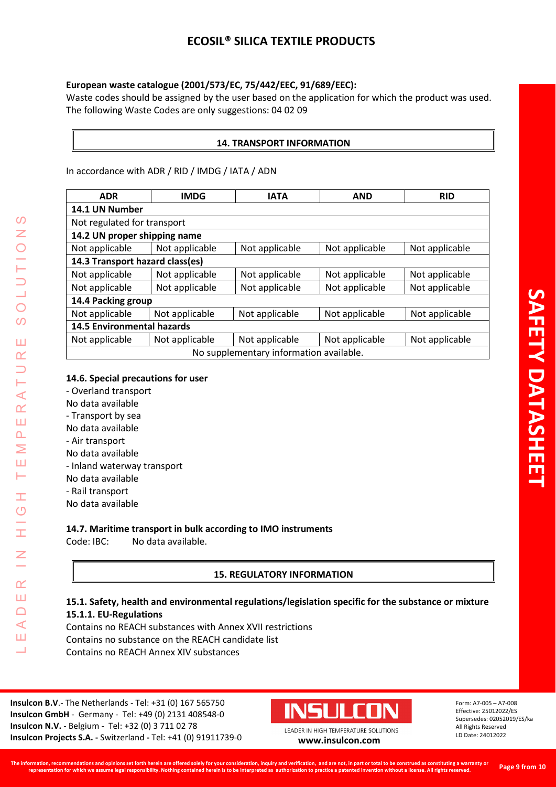## **European waste catalogue (2001/573/EC, 75/442/EEC, 91/689/EEC):**

Waste codes should be assigned by the user based on the application for which the product was used. The following Waste Codes are only suggestions: 04 02 09

## **14. TRANSPORT INFORMATION**

In accordance with ADR / RID / IMDG / IATA / ADN

| <b>ADR</b>                              | <b>IMDG</b>    | <b>IATA</b>    | <b>AND</b>     | <b>RID</b>     |  |  |  |
|-----------------------------------------|----------------|----------------|----------------|----------------|--|--|--|
| 14.1 UN Number                          |                |                |                |                |  |  |  |
| Not regulated for transport             |                |                |                |                |  |  |  |
| 14.2 UN proper shipping name            |                |                |                |                |  |  |  |
| Not applicable                          | Not applicable | Not applicable | Not applicable | Not applicable |  |  |  |
| 14.3 Transport hazard class(es)         |                |                |                |                |  |  |  |
| Not applicable                          | Not applicable | Not applicable | Not applicable | Not applicable |  |  |  |
| Not applicable                          | Not applicable | Not applicable | Not applicable | Not applicable |  |  |  |
| 14.4 Packing group                      |                |                |                |                |  |  |  |
| Not applicable                          | Not applicable | Not applicable | Not applicable | Not applicable |  |  |  |
| <b>14.5 Environmental hazards</b>       |                |                |                |                |  |  |  |
| Not applicable                          | Not applicable | Not applicable | Not applicable | Not applicable |  |  |  |
| No supplementary information available. |                |                |                |                |  |  |  |

## **14.6. Special precautions for user**

- Overland transport
- No data available
- Transport by sea
- No data available
- Air transport

LEADER IN HIGH TEMPERATURE SOLUTIONS

Ŧ  $\overline{O}$ 

I

 $\alpha$ Ш  $\Box$  $\triangleleft$ Ш ┙

 $\Omega$ Z

 $\bigcirc$ 

 $\Omega$ 

Ш  $\alpha$ 

⊢  $\prec$  $\underline{\alpha}$ Ш  $\overline{\mathbf{r}}$ Σ Ш Н

- No data available
- Inland waterway transport
- No data available
- Rail transport
- No data available

## **14.7. Maritime transport in bulk according to IMO instruments**

Code: IBC: No data available.

## **15. REGULATORY INFORMATION**

## **15.1. Safety, health and environmental regulations/legislation specific for the substance or mixture 15.1.1. EU-Regulations**

Contains no REACH substances with Annex XVII restrictions Contains no substance on the REACH candidate list Contains no REACH Annex XIV substances

**Insulcon B.V**.- The Netherlands - Tel: +31 (0) 167 565750 **Insulcon GmbH** - Germany - Tel: +49 (0) 2131 408548-0 **Insulcon N.V.** - Belgium - Tel: +32 (0) 3 711 02 78 **Insulcon Projects S.A. -** Switzerland **-** Tel: +41 (0) 91911739-0 **[www.insulcon.com](http://www.insulcon.com/)**



Form: A7-005 – A7-008 Effective: 25012022/ES Supersedes: 02052019/ES/ka All Rights Reserved LD Date: 24012022

**SAFETY DATASHEET**

**AFETY DATASHE**